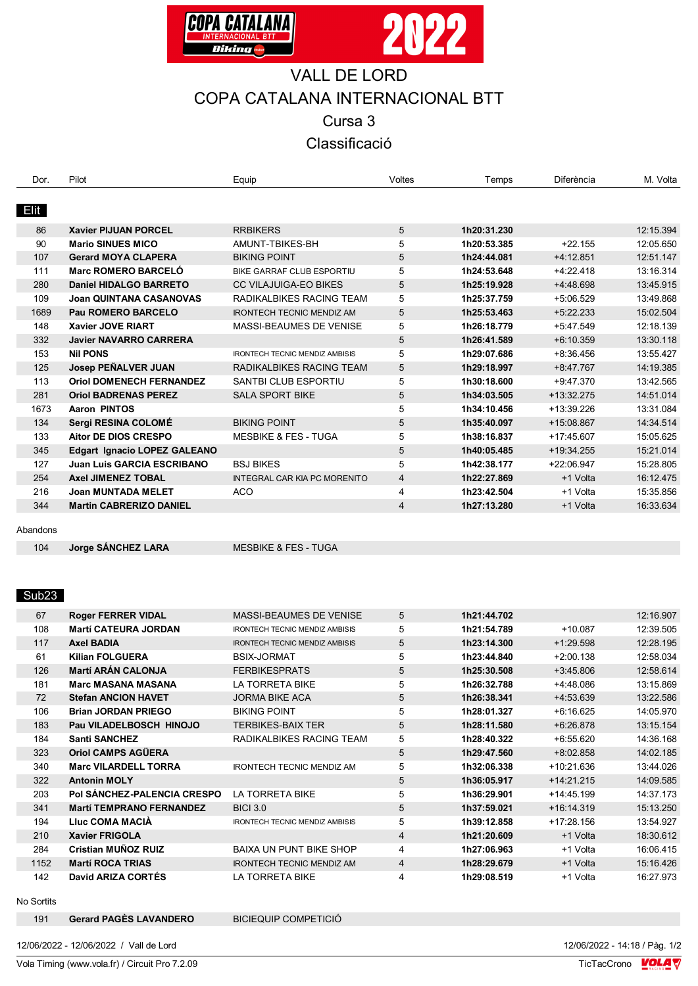



## VALL DE LORD COPA CATALANA INTERNACIONAL BTT

Cursa 3

Classificació

| Dor.        | Pilot                             | Equip                                 | <b>Voltes</b>  | Temps       | Diferència   | M. Volta  |
|-------------|-----------------------------------|---------------------------------------|----------------|-------------|--------------|-----------|
|             |                                   |                                       |                |             |              |           |
| <b>Elit</b> |                                   |                                       |                |             |              |           |
| 86          | <b>Xavier PIJUAN PORCEL</b>       | <b>RRBIKERS</b>                       | $\sqrt{5}$     | 1h20:31.230 |              | 12:15.394 |
| 90          | <b>Mario SINUES MICO</b>          | AMUNT-TBIKES-BH                       | 5              | 1h20:53.385 | $+22.155$    | 12:05.650 |
| 107         | <b>Gerard MOYA CLAPERA</b>        | <b>BIKING POINT</b>                   | 5              | 1h24:44.081 | $+4:12.851$  | 12:51.147 |
| 111         | Marc ROMERO BARCELÓ               | BIKE GARRAF CLUB ESPORTIU             | 5              | 1h24:53.648 | $+4:22.418$  | 13:16.314 |
| 280         | <b>Daniel HIDALGO BARRETO</b>     | <b>CC VILAJUIGA-EO BIKES</b>          | 5              | 1h25:19.928 | +4:48.698    | 13:45.915 |
| 109         | <b>Joan QUINTANA CASANOVAS</b>    | RADIKALBIKES RACING TEAM              | 5              | 1h25:37.759 | $+5:06.529$  | 13:49.868 |
| 1689        | Pau ROMERO BARCELO                | <b>IRONTECH TECNIC MENDIZ AM</b>      | 5              | 1h25:53.463 | $+5:22.233$  | 15:02.504 |
| 148         | <b>Xavier JOVE RIART</b>          | MASSI-BEAUMES DE VENISE               | 5              | 1h26:18.779 | $+5:47.549$  | 12:18.139 |
| 332         | <b>Javier NAVARRO CARRERA</b>     |                                       | 5              | 1h26:41.589 | $+6:10.359$  | 13:30.118 |
| 153         | <b>Nil PONS</b>                   | <b>IRONTECH TECNIC MENDIZ AMBISIS</b> | 5              | 1h29:07.686 | $+8:36.456$  | 13:55.427 |
| 125         | Josep PEÑALVER JUAN               | RADIKALBIKES RACING TEAM              | 5              | 1h29:18.997 | $+8.47.767$  | 14:19.385 |
| 113         | <b>Oriol DOMENECH FERNANDEZ</b>   | <b>SANTBI CLUB ESPORTIU</b>           | 5              | 1h30:18.600 | $+9:47.370$  | 13:42.565 |
| 281         | <b>Oriol BADRENAS PEREZ</b>       | <b>SALA SPORT BIKE</b>                | 5              | 1h34:03.505 | $+13:32.275$ | 14:51.014 |
| 1673        | <b>Aaron PINTOS</b>               |                                       | 5              | 1h34:10.456 | +13:39.226   | 13:31.084 |
| 134         | Sergi RESINA COLOMÉ               | <b>BIKING POINT</b>                   | 5              | 1h35:40.097 | +15:08.867   | 14:34.514 |
| 133         | <b>Aitor DE DIOS CRESPO</b>       | <b>MESBIKE &amp; FES - TUGA</b>       | 5              | 1h38:16.837 | $+17:45.607$ | 15:05.625 |
| 345         | Edgart Ignacio LOPEZ GALEANO      |                                       | 5              | 1h40:05.485 | +19:34.255   | 15:21.014 |
| 127         | <b>Juan Luis GARCIA ESCRIBANO</b> | <b>BSJ BIKES</b>                      | 5              | 1h42:38.177 | +22:06.947   | 15:28.805 |
| 254         | <b>Axel JIMENEZ TOBAL</b>         | INTEGRAL CAR KIA PC MORENITO          | $\overline{4}$ | 1h22:27.869 | +1 Volta     | 16:12.475 |
| 216         | <b>Joan MUNTADA MELET</b>         | <b>ACO</b>                            | 4              | 1h23:42.504 | +1 Volta     | 15:35.856 |
| 344         | <b>Martin CABRERIZO DANIEL</b>    |                                       | $\overline{4}$ | 1h27:13.280 | +1 Volta     | 16:33.634 |
|             |                                   |                                       |                |             |              |           |

Abandons

**Jorge SÁNCHEZ LARA** MESBIKE & FES - TUGA

## Sub23

| 67   | <b>Roger FERRER VIDAL</b>       | <b>MASSI-BEAUMES DE VENISE</b>        | 5              | 1h21:44.702 |              | 12:16.907 |
|------|---------------------------------|---------------------------------------|----------------|-------------|--------------|-----------|
| 108  | <b>Martí CATEURA JORDAN</b>     | <b>IRONTECH TECNIC MENDIZ AMBISIS</b> | 5              | 1h21:54.789 | $+10.087$    | 12:39.505 |
| 117  | <b>Axel BADIA</b>               | <b>IRONTECH TECNIC MENDIZ AMBISIS</b> | 5              | 1h23:14.300 | $+1:29.598$  | 12:28.195 |
| 61   | <b>Kilian FOLGUERA</b>          | <b>BSIX-JORMAT</b>                    | 5              | 1h23:44.840 | $+2:00.138$  | 12:58.034 |
| 126  | <b>Martí ARÁN CALONJA</b>       | <b>FERBIKESPRATS</b>                  | 5              | 1h25:30.508 | $+3.45.806$  | 12:58.614 |
| 181  | <b>Marc MASANA MASANA</b>       | LA TORRETA BIKE                       | 5              | 1h26:32.788 | +4:48.086    | 13:15.869 |
| 72   | <b>Stefan ANCION HAVET</b>      | <b>JORMA BIKE ACA</b>                 | 5              | 1h26:38.341 | $+4:53.639$  | 13:22.586 |
| 106  | <b>Brian JORDAN PRIEGO</b>      | <b>BIKING POINT</b>                   | 5              | 1h28:01.327 | $+6:16.625$  | 14:05.970 |
| 183  | Pau VILADELBOSCH HINOJO         | <b>TERBIKES-BAIX TER</b>              | 5              | 1h28:11.580 | $+6.26.878$  | 13:15.154 |
| 184  | <b>Santi SANCHEZ</b>            | RADIKALBIKES RACING TEAM              | 5              | 1h28:40.322 | $+6:55.620$  | 14:36.168 |
| 323  | <b>Oriol CAMPS AGÜERA</b>       |                                       | 5              | 1h29:47.560 | $+8:02.858$  | 14:02.185 |
| 340  | <b>Marc VILARDELL TORRA</b>     | <b>IRONTECH TECNIC MENDIZ AM</b>      | 5              | 1h32:06.338 | +10:21.636   | 13:44.026 |
| 322  | <b>Antonin MOLY</b>             |                                       | 5              | 1h36:05.917 | $+14:21.215$ | 14:09.585 |
| 203  | Pol SÁNCHEZ-PALENCIA CRESPO     | LA TORRETA BIKE                       | 5              | 1h36:29.901 | +14:45.199   | 14:37.173 |
| 341  | <b>Martí TEMPRANO FERNANDEZ</b> | <b>BICI 3.0</b>                       | 5              | 1h37:59.021 | $+16:14.319$ | 15:13.250 |
| 194  | Lluc COMA MACIA                 | <b>IRONTECH TECNIC MENDIZ AMBISIS</b> | 5              | 1h39:12.858 | $+17:28.156$ | 13:54.927 |
| 210  | <b>Xavier FRIGOLA</b>           |                                       | $\overline{4}$ | 1h21:20.609 | +1 Volta     | 18:30.612 |
| 284  | Cristian MUÑOZ RUIZ             | <b>BAIXA UN PUNT BIKE SHOP</b>        | 4              | 1h27:06.963 | +1 Volta     | 16:06.415 |
| 1152 | <b>Martí ROCA TRIAS</b>         | <b>IRONTECH TECNIC MENDIZ AM</b>      | 4              | 1h28:29.679 | +1 Volta     | 15:16.426 |
| 142  | David ARIZA CORTÉS              | LA TORRETA BIKE                       | 4              | 1h29:08.519 | +1 Volta     | 16:27.973 |
|      |                                 |                                       |                |             |              |           |

No Sortits

**Gerard PAGÈS LAVANDERO** BICIEQUIP COMPETICIÓ

12/06/2022 - 12/06/2022 / Vall de Lord